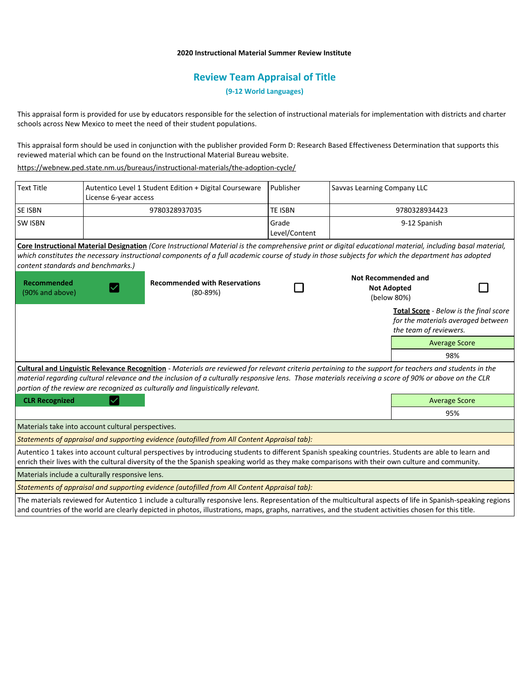# **2020 Instructional Material Summer Review Institute**

# **Review Team Appraisal of Title**

**(9-12 World Languages)**

This appraisal form is provided for use by educators responsible for the selection of instructional materials for implementation with districts and charter schools across New Mexico to meet the need of their student populations.

This appraisal form should be used in conjunction with the publisher provided Form D: Research Based Effectiveness Determination that supports this reviewed material which can be found on the Instructional Material Bureau website.

<https://webnew.ped.state.nm.us/bureaus/instructional-materials/the-adoption-cycle/>

| <b>Text Title</b>                  | Autentico Level 1 Student Edition + Digital Courseware<br>License 6-year access                                                                                                                                                                                                                                                                                                                     | Publisher              | Savvas Learning Company LLC                                     |                        |                                                                                     |
|------------------------------------|-----------------------------------------------------------------------------------------------------------------------------------------------------------------------------------------------------------------------------------------------------------------------------------------------------------------------------------------------------------------------------------------------------|------------------------|-----------------------------------------------------------------|------------------------|-------------------------------------------------------------------------------------|
| <b>SE ISBN</b>                     | 9780328937035                                                                                                                                                                                                                                                                                                                                                                                       | <b>TE ISBN</b>         | 9780328934423                                                   |                        |                                                                                     |
| <b>SW ISBN</b>                     |                                                                                                                                                                                                                                                                                                                                                                                                     | Grade<br>Level/Content | 9-12 Spanish                                                    |                        |                                                                                     |
| content standards and benchmarks.) | Core Instructional Material Designation (Core Instructional Material is the comprehensive print or digital educational material, including basal material,<br>which constitutes the necessary instructional components of a full academic course of study in those subjects for which the department has adopted                                                                                    |                        |                                                                 |                        |                                                                                     |
| Recommended<br>(90% and above)     | <b>Recommended with Reservations</b><br>$(80-89%)$                                                                                                                                                                                                                                                                                                                                                  |                        | <b>Not Recommended and</b><br><b>Not Adopted</b><br>(below 80%) |                        |                                                                                     |
|                                    |                                                                                                                                                                                                                                                                                                                                                                                                     |                        |                                                                 | the team of reviewers. | <b>Total Score</b> - Below is the final score<br>for the materials averaged between |
|                                    |                                                                                                                                                                                                                                                                                                                                                                                                     |                        |                                                                 |                        | <b>Average Score</b>                                                                |
|                                    |                                                                                                                                                                                                                                                                                                                                                                                                     |                        |                                                                 |                        | 98%                                                                                 |
|                                    | Cultural and Linguistic Relevance Recognition - Materials are reviewed for relevant criteria pertaining to the support for teachers and students in the<br>material regarding cultural relevance and the inclusion of a culturally responsive lens. Those materials receiving a score of 90% or above on the CLR<br>portion of the review are recognized as culturally and linguistically relevant. |                        |                                                                 |                        |                                                                                     |
| <b>CLR Recognized</b>              |                                                                                                                                                                                                                                                                                                                                                                                                     |                        |                                                                 | <b>Average Score</b>   |                                                                                     |
|                                    |                                                                                                                                                                                                                                                                                                                                                                                                     |                        |                                                                 |                        | 95%                                                                                 |
|                                    | Materials take into account cultural perspectives.                                                                                                                                                                                                                                                                                                                                                  |                        |                                                                 |                        |                                                                                     |
|                                    | Statements of appraisal and supporting evidence (autofilled from All Content Appraisal tab):                                                                                                                                                                                                                                                                                                        |                        |                                                                 |                        |                                                                                     |
|                                    | Autentico 1 takes into account cultural perspectives by introducing students to different Spanish speaking countries. Students are able to learn and<br>enrich their lives with the cultural diversity of the the Spanish speaking world as they make comparisons with their own culture and community.                                                                                             |                        |                                                                 |                        |                                                                                     |
|                                    | Materials include a culturally responsive lens.                                                                                                                                                                                                                                                                                                                                                     |                        |                                                                 |                        |                                                                                     |
|                                    | Statements of appraisal and supporting evidence (autofilled from All Content Appraisal tab):                                                                                                                                                                                                                                                                                                        |                        |                                                                 |                        |                                                                                     |
|                                    | The materials reviewed for Autentico 1 include a culturally responsive lens. Representation of the multicultural aspects of life in Spanish-speaking regions<br>and countries of the world are clearly depicted in photos, illustrations, maps, graphs, narratives, and the student activities chosen for this title.                                                                               |                        |                                                                 |                        |                                                                                     |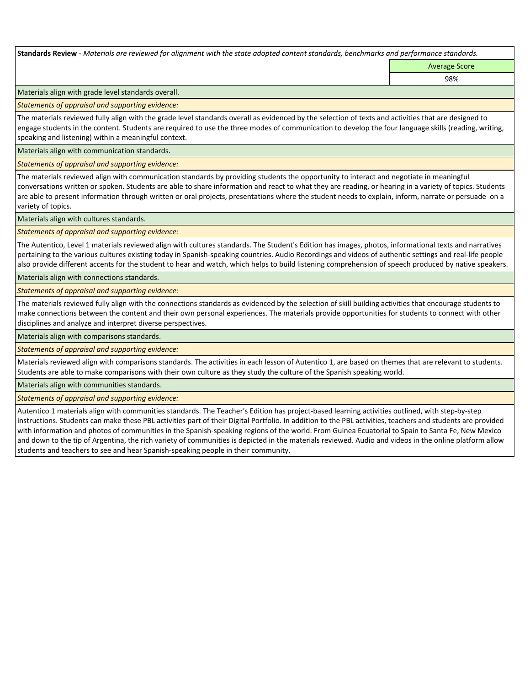**Standards Review** *- Materials are reviewed for alignment with the state adopted content standards, benchmarks and performance standards.*

Average Score 98%

Materials align with grade level standards overall.

*Statements of appraisal and supporting evidence:* 

The materials reviewed fully align with the grade level standards overall as evidenced by the selection of texts and activities that are designed to engage students in the content. Students are required to use the three modes of communication to develop the four language skills (reading, writing, speaking and listening) within a meaningful context.

Materials align with communication standards.

*Statements of appraisal and supporting evidence:* 

The materials reviewed align with communication standards by providing students the opportunity to interact and negotiate in meaningful conversations written or spoken. Students are able to share information and react to what they are reading, or hearing in a variety of topics. Students are able to present information through written or oral projects, presentations where the student needs to explain, inform, narrate or persuade on a variety of topics.

Materials align with cultures standards.

*Statements of appraisal and supporting evidence:* 

The Autentico, Level 1 materials reviewed align with cultures standards. The Student's Edition has images, photos, informational texts and narratives pertaining to the various cultures existing today in Spanish-speaking countries. Audio Recordings and videos of authentic settings and real-life people also provide different accents for the student to hear and watch, which helps to build listening comprehension of speech produced by native speakers.

Materials align with connections standards.

*Statements of appraisal and supporting evidence:* 

The materials reviewed fully align with the connections standards as evidenced by the selection of skill building activities that encourage students to make connections between the content and their own personal experiences. The materials provide opportunities for students to connect with other disciplines and analyze and interpret diverse perspectives.

Materials align with comparisons standards.

*Statements of appraisal and supporting evidence:* 

Materials reviewed align with comparisons standards. The activities in each lesson of Autentico 1, are based on themes that are relevant to students. Students are able to make comparisons with their own culture as they study the culture of the Spanish speaking world.

Materials align with communities standards.

*Statements of appraisal and supporting evidence:* 

Autentico 1 materials align with communities standards. The Teacher's Edition has project-based learning activities outlined, with step-by-step instructions. Students can make these PBL activities part of their Digital Portfolio. In addition to the PBL activities, teachers and students are provided with information and photos of communities in the Spanish-speaking regions of the world. From Guinea Ecuatorial to Spain to Santa Fe, New Mexico and down to the tip of Argentina, the rich variety of communities is depicted in the materials reviewed. Audio and videos in the online platform allow students and teachers to see and hear Spanish-speaking people in their community.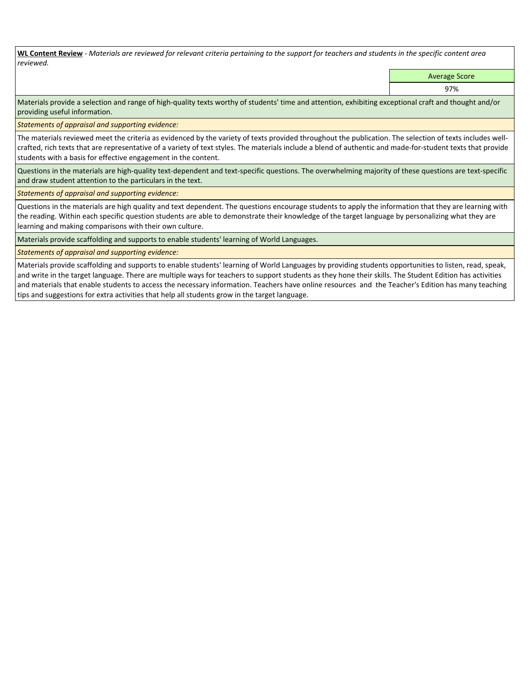**WL Content Review** *- Materials are reviewed for relevant criteria pertaining to the support for teachers and students in the specific content area reviewed.*

Average Score

97%

Materials provide a selection and range of high-quality texts worthy of students' time and attention, exhibiting exceptional craft and thought and/or providing useful information.

*Statements of appraisal and supporting evidence:* 

The materials reviewed meet the criteria as evidenced by the variety of texts provided throughout the publication. The selection of texts includes wellcrafted, rich texts that are representative of a variety of text styles. The materials include a blend of authentic and made-for-student texts that provide students with a basis for effective engagement in the content.

Questions in the materials are high-quality text-dependent and text-specific questions. The overwhelming majority of these questions are text-specific and draw student attention to the particulars in the text.

*Statements of appraisal and supporting evidence:* 

Questions in the materials are high quality and text dependent. The questions encourage students to apply the information that they are learning with the reading. Within each specific question students are able to demonstrate their knowledge of the target language by personalizing what they are learning and making comparisons with their own culture.

Materials provide scaffolding and supports to enable students' learning of World Languages.

*Statements of appraisal and supporting evidence:* 

Materials provide scaffolding and supports to enable students' learning of World Languages by providing students opportunities to listen, read, speak, and write in the target language. There are multiple ways for teachers to support students as they hone their skills. The Student Edition has activities and materials that enable students to access the necessary information. Teachers have online resources and the Teacher's Edition has many teaching tips and suggestions for extra activities that help all students grow in the target language.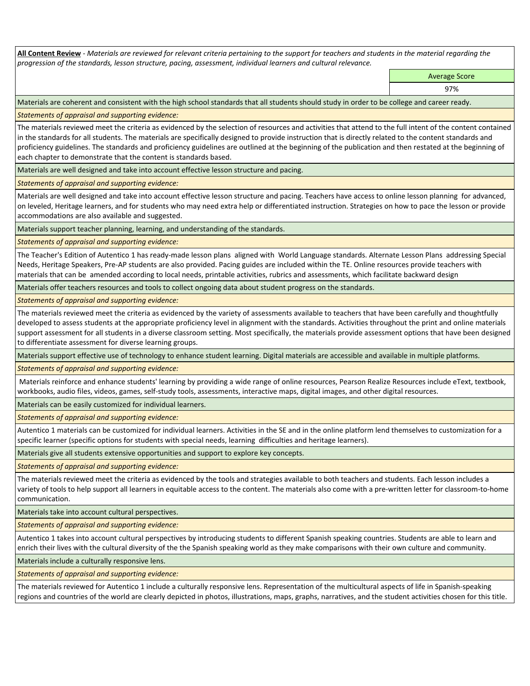**All Content Review** *- Materials are reviewed for relevant criteria pertaining to the support for teachers and students in the material regarding the progression of the standards, lesson structure, pacing, assessment, individual learners and cultural relevance.*

> Average Score 97%

Materials are coherent and consistent with the high school standards that all students should study in order to be college and career ready.

*Statements of appraisal and supporting evidence:*

The materials reviewed meet the criteria as evidenced by the selection of resources and activities that attend to the full intent of the content contained in the standards for all students. The materials are specifically designed to provide instruction that is directly related to the content standards and proficiency guidelines. The standards and proficiency guidelines are outlined at the beginning of the publication and then restated at the beginning of each chapter to demonstrate that the content is standards based.

Materials are well designed and take into account effective lesson structure and pacing.

*Statements of appraisal and supporting evidence:*

Materials are well designed and take into account effective lesson structure and pacing. Teachers have access to online lesson planning for advanced, on leveled, Heritage learners, and for students who may need extra help or differentiated instruction. Strategies on how to pace the lesson or provide accommodations are also available and suggested.

Materials support teacher planning, learning, and understanding of the standards.

*Statements of appraisal and supporting evidence:*

The Teacher's Edition of Autentico 1 has ready-made lesson plans aligned with World Language standards. Alternate Lesson Plans addressing Special Needs, Heritage Speakers, Pre-AP students are also provided. Pacing guides are included within the TE. Online resources provide teachers with materials that can be amended according to local needs, printable activities, rubrics and assessments, which facilitate backward design

Materials offer teachers resources and tools to collect ongoing data about student progress on the standards.

*Statements of appraisal and supporting evidence:*

The materials reviewed meet the criteria as evidenced by the variety of assessments available to teachers that have been carefully and thoughtfully developed to assess students at the appropriate proficiency level in alignment with the standards. Activities throughout the print and online materials support assessment for all students in a diverse classroom setting. Most specifically, the materials provide assessment options that have been designed to differentiate assessment for diverse learning groups.

Materials support effective use of technology to enhance student learning. Digital materials are accessible and available in multiple platforms.

*Statements of appraisal and supporting evidence:*

 Materials reinforce and enhance students' learning by providing a wide range of online resources, Pearson Realize Resources include eText, textbook, workbooks, audio files, videos, games, self-study tools, assessments, interactive maps, digital images, and other digital resources.

Materials can be easily customized for individual learners.

*Statements of appraisal and supporting evidence:* 

Autentico 1 materials can be customized for individual learners. Activities in the SE and in the online platform lend themselves to customization for a specific learner (specific options for students with special needs, learning difficulties and heritage learners).

Materials give all students extensive opportunities and support to explore key concepts.

*Statements of appraisal and supporting evidence:*

The materials reviewed meet the criteria as evidenced by the tools and strategies available to both teachers and students. Each lesson includes a variety of tools to help support all learners in equitable access to the content. The materials also come with a pre-written letter for classroom-to-home communication.

Materials take into account cultural perspectives.

*Statements of appraisal and supporting evidence:*

Autentico 1 takes into account cultural perspectives by introducing students to different Spanish speaking countries. Students are able to learn and enrich their lives with the cultural diversity of the the Spanish speaking world as they make comparisons with their own culture and community.

Materials include a culturally responsive lens.

*Statements of appraisal and supporting evidence:*

The materials reviewed for Autentico 1 include a culturally responsive lens. Representation of the multicultural aspects of life in Spanish-speaking regions and countries of the world are clearly depicted in photos, illustrations, maps, graphs, narratives, and the student activities chosen for this title.